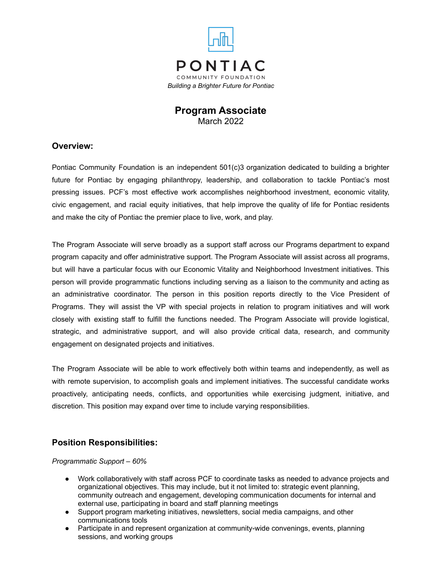

# **Program Associate** March 2022

## **Overview:**

Pontiac Community Foundation is an independent 501(c)3 organization dedicated to building a brighter future for Pontiac by engaging philanthropy, leadership, and collaboration to tackle Pontiac's most pressing issues. PCF's most effective work accomplishes neighborhood investment, economic vitality, civic engagement, and racial equity initiatives, that help improve the quality of life for Pontiac residents and make the city of Pontiac the premier place to live, work, and play.

The Program Associate will serve broadly as a support staff across our Programs department to expand program capacity and offer administrative support. The Program Associate will assist across all programs, but will have a particular focus with our Economic Vitality and Neighborhood Investment initiatives. This person will provide programmatic functions including serving as a liaison to the community and acting as an administrative coordinator. The person in this position reports directly to the Vice President of Programs. They will assist the VP with special projects in relation to program initiatives and will work closely with existing staff to fulfill the functions needed. The Program Associate will provide logistical, strategic, and administrative support, and will also provide critical data, research, and community engagement on designated projects and initiatives.

The Program Associate will be able to work effectively both within teams and independently, as well as with remote supervision, to accomplish goals and implement initiatives. The successful candidate works proactively, anticipating needs, conflicts, and opportunities while exercising judgment, initiative, and discretion. This position may expand over time to include varying responsibilities.

## **Position Responsibilities:**

*Programmatic Support – 60%*

- Work collaboratively with staff across PCF to coordinate tasks as needed to advance projects and organizational objectives. This may include, but it not limited to: strategic event planning, community outreach and engagement, developing communication documents for internal and external use, participating in board and staff planning meetings
- Support program marketing initiatives, newsletters, social media campaigns, and other communications tools
- Participate in and represent organization at community-wide convenings, events, planning sessions, and working groups